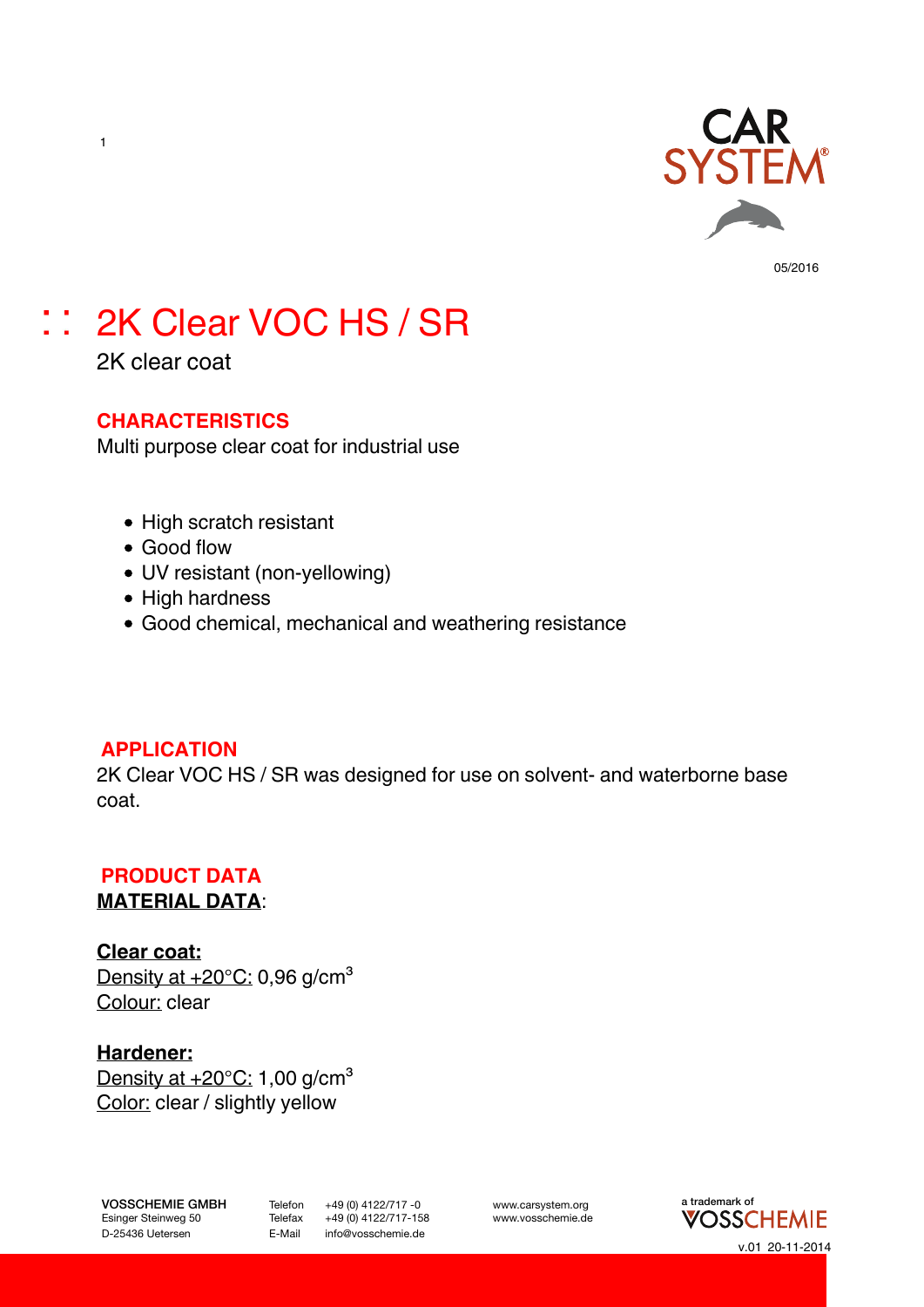

# :: 2K Clear VOC HS / SR

2K clear coat

1

#### **CHARACTERISTICS**

Multi purpose clear coat for industrial use

- High scratch resistant
- Good flow
- UV resistant (non-yellowing)
- High hardness
- Good chemical, mechanical and weathering resistance

#### **APPLICATION**

2K Clear VOC HS / SR was designed for use on solvent- and waterborne base coat.

## **PRODUCT DATA**

#### **MATERIAL DATA**:

**Clear coat:** Density at  $+20^{\circ}$ C: 0,96 g/cm<sup>3</sup> Colour: clear

**Hardener:** Density at  $+20^{\circ}$ C: 1,00 g/cm<sup>3</sup> Color: clear / slightly yellow

D-25436 Uetersen **E-Mail** info@vosschemie.de

 $+49$  (0) 4122/717-158

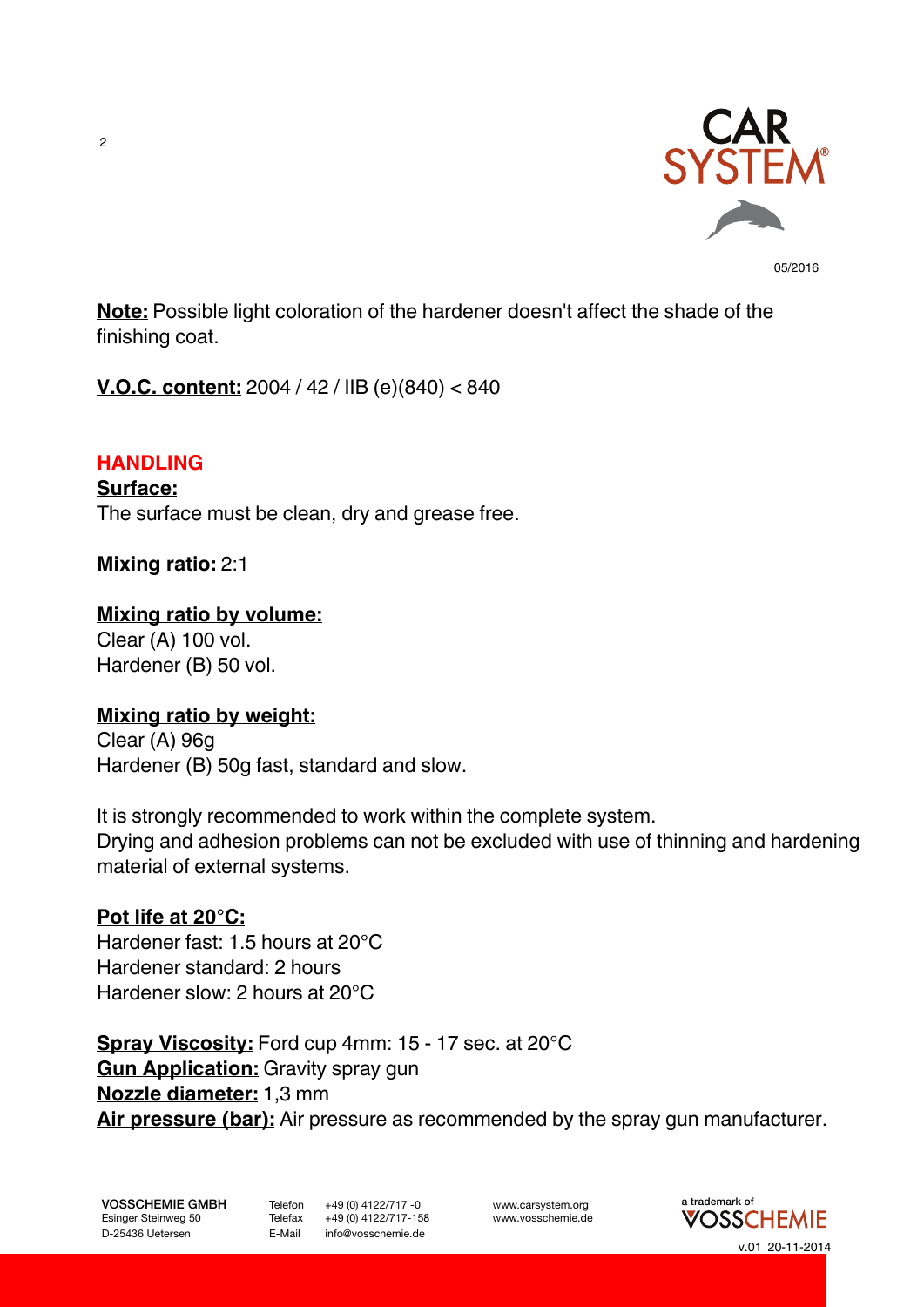

**Note:** Possible light coloration of the hardener doesn't affect the shade of the finishing coat.

**V.O.C. content:** 2004 / 42 / IIB (e)(840) < 840

#### **HANDLING**

**Surface:**

The surface must be clean, dry and grease free.

#### **Mixing ratio:** 2:1

#### **Mixing ratio by volume:**

Clear (A) 100 vol. Hardener (B) 50 vol.

#### **Mixing ratio by weight:**

Clear (A) 96g Hardener (B) 50g fast, standard and slow.

It is strongly recommended to work within the complete system. Drying and adhesion problems can not be excluded with use of thinning and hardening material of external systems.

#### **Pot life at 20°C:**

Hardener fast: 1.5 hours at 20°C Hardener standard: 2 hours Hardener slow: 2 hours at 20°C

**Spray Viscosity:** Ford cup 4mm: 15 - 17 sec. at 20°C **Gun Application:** Gravity spray gun **Nozzle diameter:** 1,3 mm **Air pressure (bar):** Air pressure as recommended by the spray gun manufacturer.

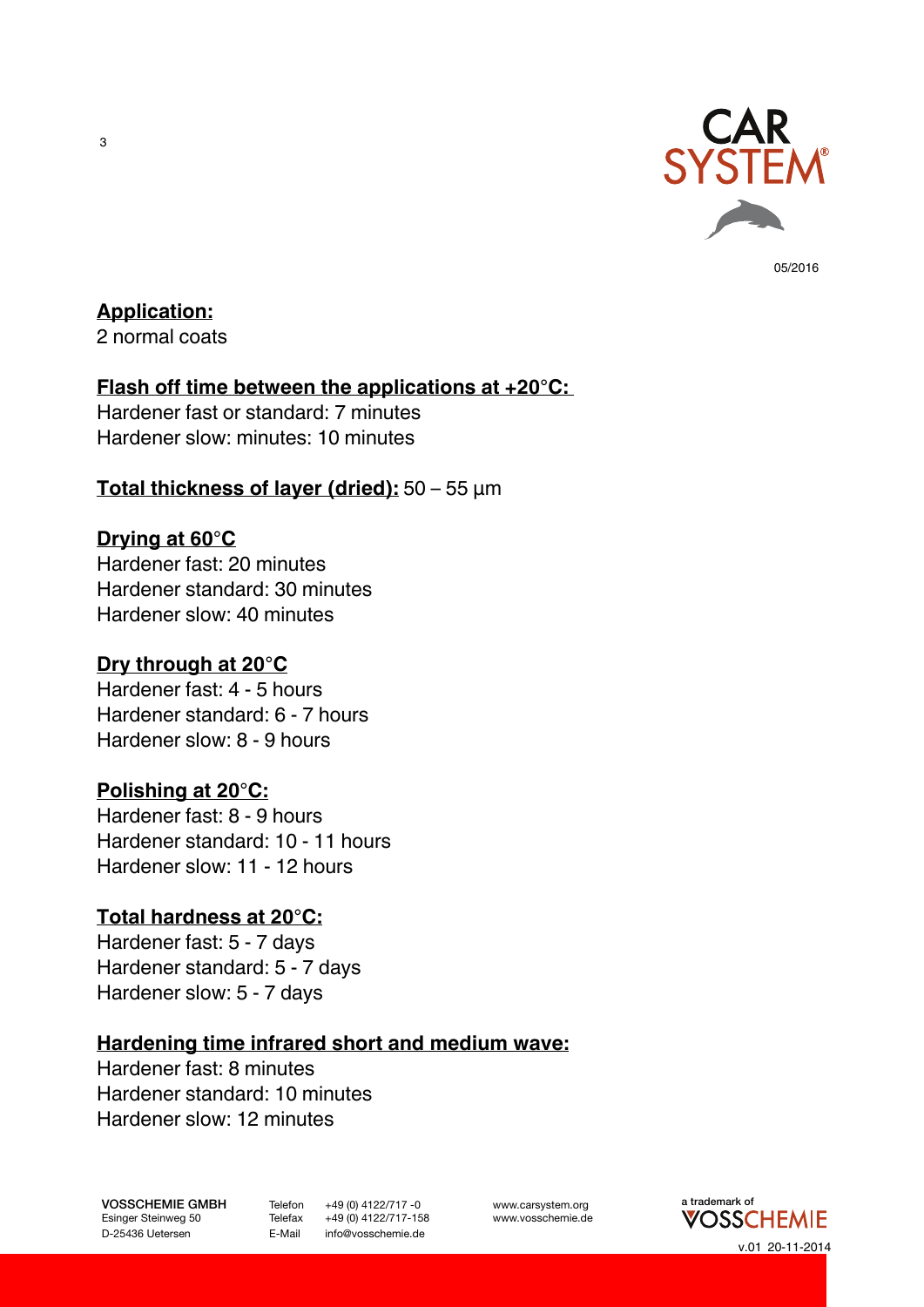

### **Application:**

2 normal coats

#### **Flash off time between the applications at +20°C:**

Hardener fast or standard: 7 minutes Hardener slow: minutes: 10 minutes

#### **Total thickness of layer (dried):** 50 – 55 µm

#### **Drying at 60°C**

Hardener fast: 20 minutes Hardener standard: 30 minutes Hardener slow: 40 minutes

#### **Dry through at 20°C**

Hardener fast: 4 - 5 hours Hardener standard: 6 - 7 hours Hardener slow: 8 - 9 hours

#### **Polishing at 20°C:**

Hardener fast: 8 - 9 hours Hardener standard: 10 - 11 hours Hardener slow: 11 - 12 hours

#### **Total hardness at 20°C:**

Hardener fast: 5 - 7 days Hardener standard: 5 - 7 days Hardener slow: 5 - 7 days

#### **Hardening time infrared short and medium wave:**

Hardener fast: 8 minutes Hardener standard: 10 minutes Hardener slow: 12 minutes